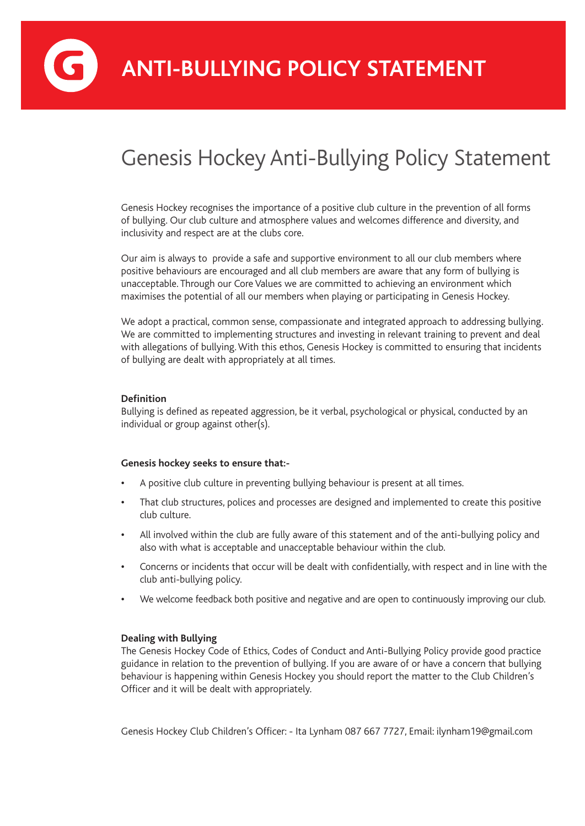**ANTI-BULLYING POLICY STATEMENT**

## Genesis Hockey Anti-Bullying Policy Statement

Genesis Hockey recognises the importance of a positive club culture in the prevention of all forms of bullying. Our club culture and atmosphere values and welcomes difference and diversity, and inclusivity and respect are at the clubs core.

Our aim is always to provide a safe and supportive environment to all our club members where positive behaviours are encouraged and all club members are aware that any form of bullying is unacceptable. Through our Core Values we are committed to achieving an environment which maximises the potential of all our members when playing or participating in Genesis Hockey.

We adopt a practical, common sense, compassionate and integrated approach to addressing bullying. We are committed to implementing structures and investing in relevant training to prevent and deal with allegations of bullying. With this ethos, Genesis Hockey is committed to ensuring that incidents of bullying are dealt with appropriately at all times.

#### **Definition**

Bullying is defined as repeated aggression, be it verbal, psychological or physical, conducted by an individual or group against other(s).

#### **Genesis hockey seeks to ensure that:-**

- **•** A positive club culture in preventing bullying behaviour is present at all times.
- **•** That club structures, polices and processes are designed and implemented to create this positive club culture.
- **•** All involved within the club are fully aware of this statement and of the anti-bullying policy and also with what is acceptable and unacceptable behaviour within the club.
- **•** Concerns or incidents that occur will be dealt with confidentially, with respect and in line with the club anti-bullying policy.
- **•** We welcome feedback both positive and negative and are open to continuously improving our club.

#### **Dealing with Bullying**

The Genesis Hockey Code of Ethics, Codes of Conduct and Anti-Bullying Policy provide good practice guidance in relation to the prevention of bullying. If you are aware of or have a concern that bullying behaviour is happening within Genesis Hockey you should report the matter to the Club Children's Officer and it will be dealt with appropriately.

Genesis Hockey Club Children's Officer: - Ita Lynham 087 667 7727, Email: ilynham19@gmail.com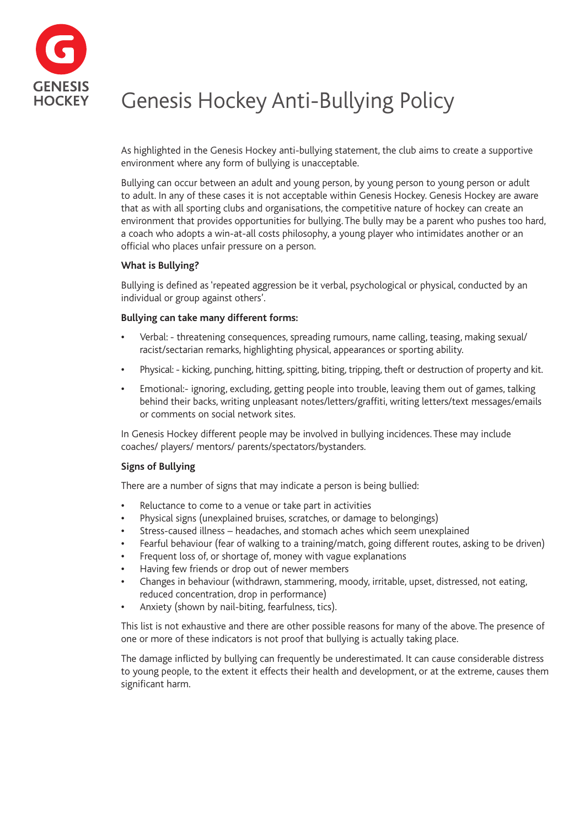

# Genesis Hockey Anti-Bullying Policy

As highlighted in the Genesis Hockey anti-bullying statement, the club aims to create a supportive environment where any form of bullying is unacceptable.

Bullying can occur between an adult and young person, by young person to young person or adult to adult. In any of these cases it is not acceptable within Genesis Hockey. Genesis Hockey are aware that as with all sporting clubs and organisations, the competitive nature of hockey can create an environment that provides opportunities for bullying. The bully may be a parent who pushes too hard, a coach who adopts a win-at-all costs philosophy, a young player who intimidates another or an official who places unfair pressure on a person.

#### **What is Bullying?**

Bullying is defined as 'repeated aggression be it verbal, psychological or physical, conducted by an individual or group against others'.

#### **Bullying can take many different forms:**

- **•** Verbal: threatening consequences, spreading rumours, name calling, teasing, making sexual/ racist/sectarian remarks, highlighting physical, appearances or sporting ability.
- **•** Physical: kicking, punching, hitting, spitting, biting, tripping, theft or destruction of property and kit.
- **•** Emotional:- ignoring, excluding, getting people into trouble, leaving them out of games, talking behind their backs, writing unpleasant notes/letters/graffiti, writing letters/text messages/emails or comments on social network sites.

In Genesis Hockey different people may be involved in bullying incidences. These may include coaches/ players/ mentors/ parents/spectators/bystanders.

### **Signs of Bullying**

There are a number of signs that may indicate a person is being bullied:

- **•** Reluctance to come to a venue or take part in activities
- **•** Physical signs (unexplained bruises, scratches, or damage to belongings)
- **•** Stress-caused illness headaches, and stomach aches which seem unexplained
- **•** Fearful behaviour (fear of walking to a training/match, going different routes, asking to be driven)
- **•** Frequent loss of, or shortage of, money with vague explanations
- **•** Having few friends or drop out of newer members
- **•** Changes in behaviour (withdrawn, stammering, moody, irritable, upset, distressed, not eating, reduced concentration, drop in performance)
- **•** Anxiety (shown by nail-biting, fearfulness, tics).

This list is not exhaustive and there are other possible reasons for many of the above. The presence of one or more of these indicators is not proof that bullying is actually taking place.

The damage inflicted by bullying can frequently be underestimated. It can cause considerable distress to young people, to the extent it effects their health and development, or at the extreme, causes them significant harm.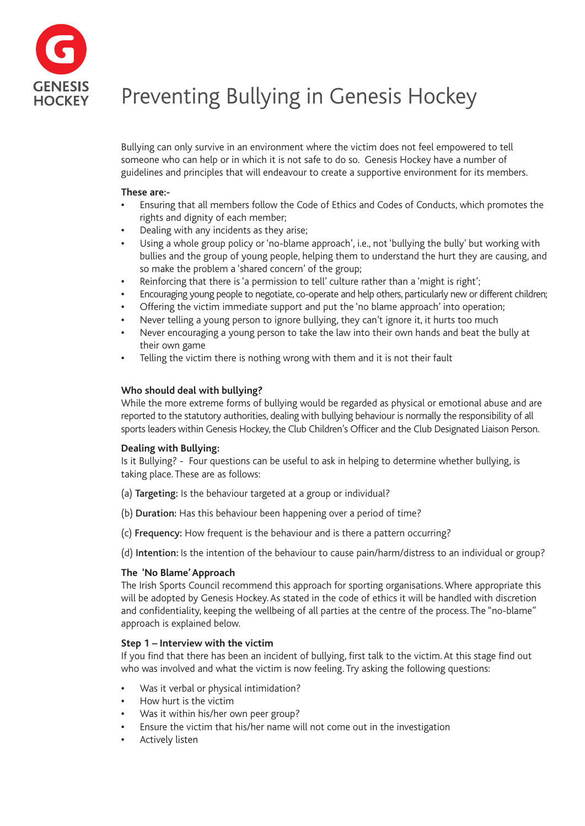

# Preventing Bullying in Genesis Hockey

Bullying can only survive in an environment where the victim does not feel empowered to tell someone who can help or in which it is not safe to do so. Genesis Hockey have a number of guidelines and principles that will endeavour to create a supportive environment for its members.

#### **These are:-**

- **•** Ensuring that all members follow the Code of Ethics and Codes of Conducts, which promotes the rights and dignity of each member;
- **•** Dealing with any incidents as they arise;
- **•** Using a whole group policy or 'no-blame approach', i.e., not 'bullying the bully' but working with bullies and the group of young people, helping them to understand the hurt they are causing, and so make the problem a 'shared concern' of the group;
- **•** Reinforcing that there is 'a permission to tell' culture rather than a 'might is right';
- **•** Encouraging young people to negotiate, co-operate and help others, particularly new or different children;
- **•** Offering the victim immediate support and put the 'no blame approach' into operation;
- **•** Never telling a young person to ignore bullying, they can't ignore it, it hurts too much
- **•** Never encouraging a young person to take the law into their own hands and beat the bully at their own game
- **•** Telling the victim there is nothing wrong with them and it is not their fault

#### **Who should deal with bullying?**

While the more extreme forms of bullying would be regarded as physical or emotional abuse and are reported to the statutory authorities, dealing with bullying behaviour is normally the responsibility of all sports leaders within Genesis Hockey, the Club Children's Officer and the Club Designated Liaison Person.

#### **Dealing with Bullying:**

Is it Bullying? - Four questions can be useful to ask in helping to determine whether bullying, is taking place. These are as follows:

- (a) Targeting: Is the behaviour targeted at a group or individual?
- (b) Duration: Has this behaviour been happening over a period of time?
- (c) Frequency: How frequent is the behaviour and is there a pattern occurring?

(d) Intention: Is the intention of the behaviour to cause pain/harm/distress to an individual or group?

#### **The 'No Blame' Approach**

The Irish Sports Council recommend this approach for sporting organisations. Where appropriate this will be adopted by Genesis Hockey. As stated in the code of ethics it will be handled with discretion and confidentiality, keeping the wellbeing of all parties at the centre of the process. The "no-blame" approach is explained below.

#### **Step 1 – Interview with the victim**

If you find that there has been an incident of bullying, first talk to the victim. At this stage find out who was involved and what the victim is now feeling. Try asking the following questions:

- **•** Was it verbal or physical intimidation?
- **•** How hurt is the victim
- **•** Was it within his/her own peer group?
- **•** Ensure the victim that his/her name will not come out in the investigation
- **•** Actively listen